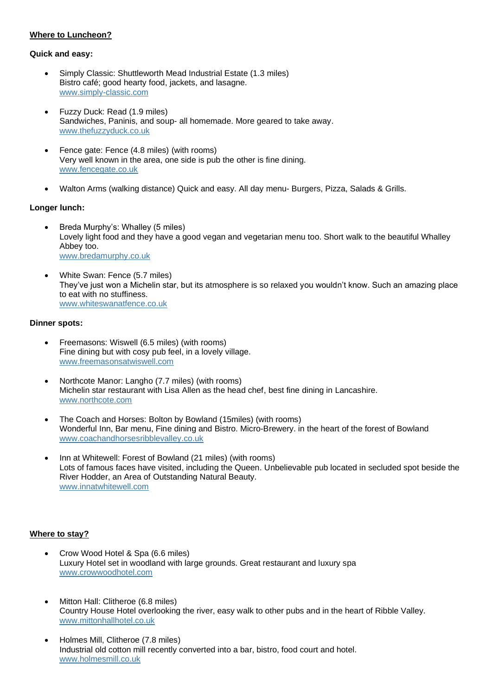# **Where to Luncheon?**

#### **Quick and easy:**

- Simply Classic: Shuttleworth Mead Industrial Estate (1.3 miles) Bistro café; good hearty food, jackets, and lasagne. [www.simply-classic.com](http://www.simply-classic.com/)
- Fuzzy Duck: Read (1.9 miles) Sandwiches, Paninis, and soup- all homemade. More geared to take away. [www.thefuzzyduck.co.uk](http://www.thefuzzyduck.co.uk/)
- Fence gate: Fence (4.8 miles) (with rooms) Very well known in the area, one side is pub the other is fine dining. [www.fencegate.co.uk](https://fencegate.co.uk/)
- Walton Arms (walking distance) Quick and easy. All day menu- Burgers, Pizza, Salads & Grills.

## **Longer lunch:**

- Breda Murphy's: Whalley (5 miles) Lovely light food and they have a good vegan and vegetarian menu too. Short walk to the beautiful Whalley Abbey too. [www.bredamurphy.co.uk](https://www.bredamurphy.co.uk/)
- White Swan: Fence (5.7 miles) They've just won a Michelin star, but its atmosphere is so relaxed you wouldn't know. Such an amazing place to eat with no stuffiness. [www.whiteswanatfence.co.uk](http://www.whiteswanatfence.co.uk/)

### **Dinner spots:**

- Freemasons: Wiswell (6.5 miles) (with rooms) Fine dining but with cosy pub feel, in a lovely village. [www.freemasonsatwiswell.com](https://www.freemasonsatwiswell.com/)
- Northcote Manor: Langho (7.7 miles) (with rooms) Michelin star restaurant with Lisa Allen as the head chef, best fine dining in Lancashire. [www.northcote.com](https://www.northcote.com/)
- The Coach and Horses: Bolton by Bowland (15miles) (with rooms) Wonderful Inn, Bar menu, Fine dining and Bistro. Micro-Brewery. in the heart of the forest of Bowland [www.coachandhorsesribblevalley.co.uk](http://www.coachandhorsesribblevalley.co.uk/)
- Inn at Whitewell: Forest of Bowland (21 miles) (with rooms) Lots of famous faces have visited, including the Queen. Unbelievable pub located in secluded spot beside the River Hodder, an Area of Outstanding Natural Beauty. [www.innatwhitewell.com](https://www.innatwhitewell.com/)

### **Where to stay?**

- Crow Wood Hotel & Spa (6.6 miles) Luxury Hotel set in woodland with large grounds. Great restaurant and luxury spa [www.crowwoodhotel.com](http://www.crowwoodhotel.com/)
- Mitton Hall: Clitheroe (6.8 miles) Country House Hotel overlooking the river, easy walk to other pubs and in the heart of Ribble Valley. [www.mittonhallhotel.co.uk](https://www.mittonhallhotel.co.uk/)
- Holmes Mill, Clitheroe (7.8 miles) Industrial old cotton mill recently converted into a bar, bistro, food court and hotel. [www.holmesmill.co.uk](https://www.holmesmill.co.uk/)